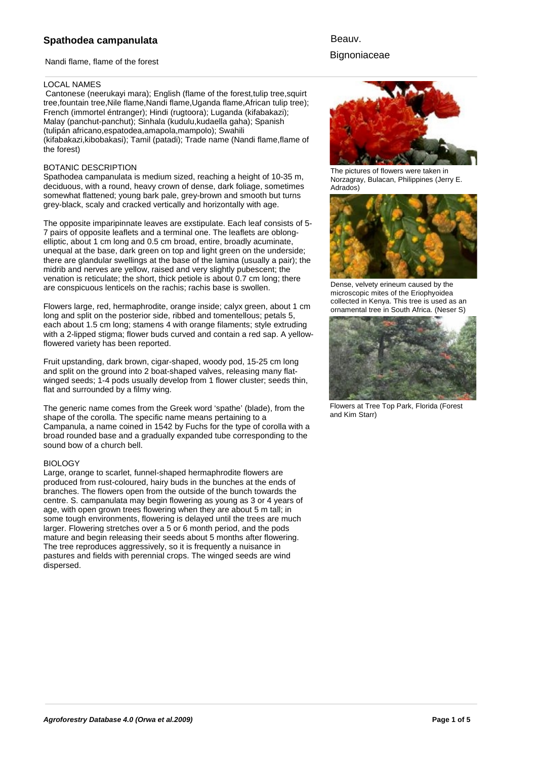# **Spathodea campanulata**

Nandi flame, flame of the forest

#### LOCAL NAMES

 Cantonese (neerukayi mara); English (flame of the forest,tulip tree,squirt tree,fountain tree,Nile flame,Nandi flame,Uganda flame,African tulip tree); French (immortel éntranger); Hindi (rugtoora); Luganda (kifabakazi); Malay (panchut-panchut); Sinhala (kudulu,kudaella gaha); Spanish (tulipán africano,espatodea,amapola,mampolo); Swahili (kifabakazi,kibobakasi); Tamil (patadi); Trade name (Nandi flame,flame of the forest)

#### BOTANIC DESCRIPTION

Spathodea campanulata is medium sized, reaching a height of 10-35 m, deciduous, with a round, heavy crown of dense, dark foliage, sometimes somewhat flattened; young bark pale, grey-brown and smooth but turns grey-black, scaly and cracked vertically and horizontally with age.

The opposite imparipinnate leaves are exstipulate. Each leaf consists of 5- 7 pairs of opposite leaflets and a terminal one. The leaflets are oblongelliptic, about 1 cm long and 0.5 cm broad, entire, broadly acuminate, unequal at the base, dark green on top and light green on the underside; there are glandular swellings at the base of the lamina (usually a pair); the midrib and nerves are yellow, raised and very slightly pubescent; the venation is reticulate; the short, thick petiole is about 0.7 cm long; there are conspicuous lenticels on the rachis; rachis base is swollen.

Flowers large, red, hermaphrodite, orange inside; calyx green, about 1 cm long and split on the posterior side, ribbed and tomentellous; petals 5, each about 1.5 cm long; stamens 4 with orange filaments; style extruding with a 2-lipped stigma; flower buds curved and contain a red sap. A yellowflowered variety has been reported.

Fruit upstanding, dark brown, cigar-shaped, woody pod, 15-25 cm long and split on the ground into 2 boat-shaped valves, releasing many flatwinged seeds; 1-4 pods usually develop from 1 flower cluster; seeds thin, flat and surrounded by a filmy wing.

The generic name comes from the Greek word 'spathe' (blade), from the shape of the corolla. The specific name means pertaining to a Campanula, a name coined in 1542 by Fuchs for the type of corolla with a broad rounded base and a gradually expanded tube corresponding to the sound bow of a church bell.

#### **BIOLOGY**

Large, orange to scarlet, funnel-shaped hermaphrodite flowers are produced from rust-coloured, hairy buds in the bunches at the ends of branches. The flowers open from the outside of the bunch towards the centre. S. campanulata may begin flowering as young as 3 or 4 years of age, with open grown trees flowering when they are about 5 m tall; in some tough environments, flowering is delayed until the trees are much larger. Flowering stretches over a 5 or 6 month period, and the pods mature and begin releasing their seeds about 5 months after flowering. The tree reproduces aggressively, so it is frequently a nuisance in pastures and fields with perennial crops. The winged seeds are wind dispersed.

Beauv.

# **Bignoniaceae**



The pictures of flowers were taken in Norzagray, Bulacan, Philippines (Jerry E. Adrados)



Dense, velvety erineum caused by the microscopic mites of the Eriophyoidea collected in Kenya. This tree is used as an ornamental tree in South Africa. (Neser S)



Flowers at Tree Top Park, Florida (Forest and Kim Starr)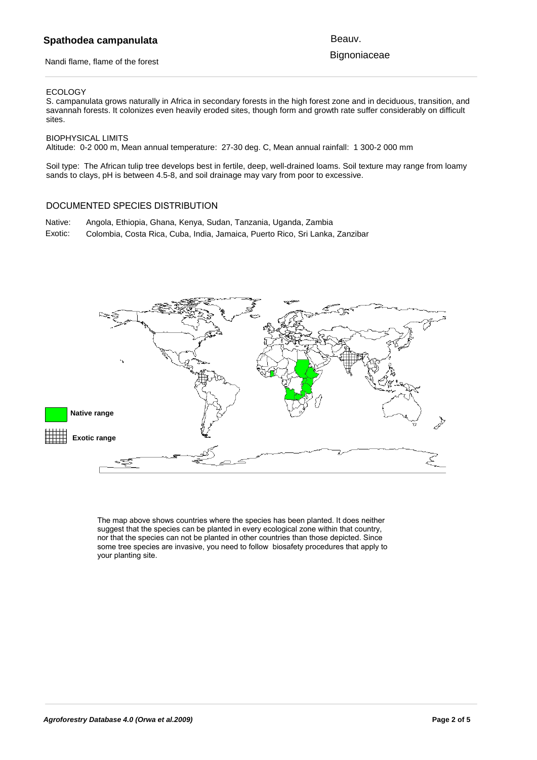# **Spathodea campanulata**

Nandi flame, flame of the forest

Beauv.

**Bignoniaceae** 

### ECOLOGY

S. campanulata grows naturally in Africa in secondary forests in the high forest zone and in deciduous, transition, and savannah forests. It colonizes even heavily eroded sites, though form and growth rate suffer considerably on difficult sites.

### BIOPHYSICAL LIMITS

Altitude: 0-2 000 m, Mean annual temperature: 27-30 deg. C, Mean annual rainfall: 1 300-2 000 mm

Soil type: The African tulip tree develops best in fertile, deep, well-drained loams. Soil texture may range from loamy sands to clays, pH is between 4.5-8, and soil drainage may vary from poor to excessive.

### DOCUMENTED SPECIES DISTRIBUTION

- Native: Angola, Ethiopia, Ghana, Kenya, Sudan, Tanzania, Uganda, Zambia
- Exotic: Colombia, Costa Rica, Cuba, India, Jamaica, Puerto Rico, Sri Lanka, Zanzibar



The map above shows countries where the species has been planted. It does neither suggest that the species can be planted in every ecological zone within that country, nor that the species can not be planted in other countries than those depicted. Since some tree species are invasive, you need to follow biosafety procedures that apply to your planting site.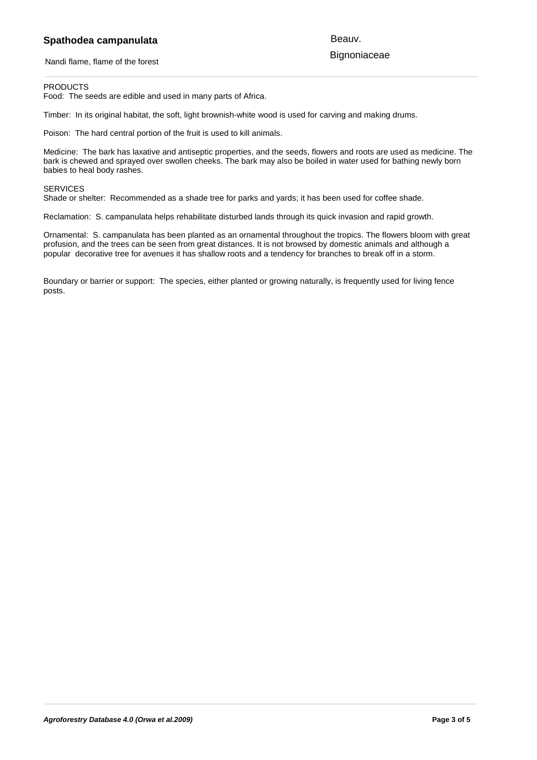#### **Spathodea campanulata** and the species are invasive, you need to follow biosafety procedures that apply to  $\mathbf{B}$ norm that the species can not be planted in other countries than the planted in other countries than those depicted. Since the planted in our countries than the second in our countries than the second in our countries than

Nandi flame, flame of the forest

Beauv.

**Bignoniaceae** 

#### **PRODUCTS**

Food: The seeds are edible and used in many parts of Africa.

Timber: In its original habitat, the soft, light brownish-white wood is used for carving and making drums.

Poison: The hard central portion of the fruit is used to kill animals.

Medicine: The bark has laxative and antiseptic properties, and the seeds, flowers and roots are used as medicine. The bark is chewed and sprayed over swollen cheeks. The bark may also be boiled in water used for bathing newly born babies to heal body rashes.

#### **SERVICES**

Shade or shelter: Recommended as a shade tree for parks and yards; it has been used for coffee shade.

Reclamation: S. campanulata helps rehabilitate disturbed lands through its quick invasion and rapid growth.

Ornamental: S. campanulata has been planted as an ornamental throughout the tropics. The flowers bloom with great profusion, and the trees can be seen from great distances. It is not browsed by domestic animals and although a popular decorative tree for avenues it has shallow roots and a tendency for branches to break off in a storm.

Boundary or barrier or support: The species, either planted or growing naturally, is frequently used for living fence posts.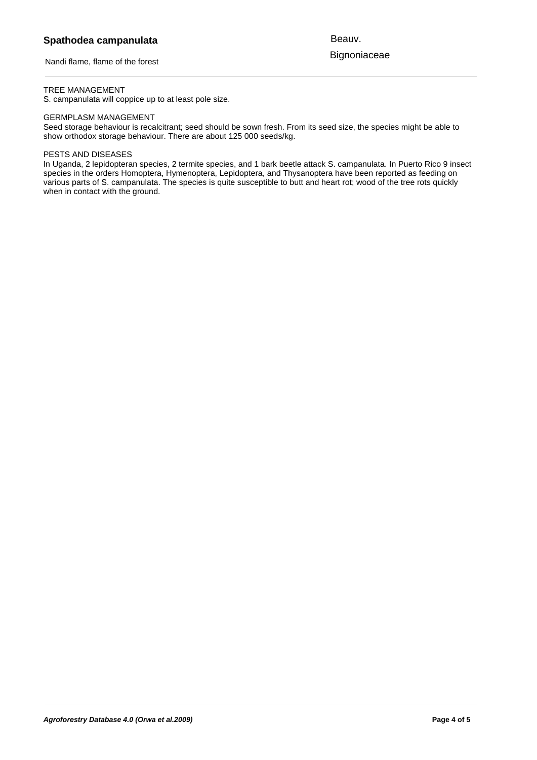Nandi flame, flame of the forest

Beauv.

**Bignoniaceae** 

#### TREE MANAGEMENT

S. campanulata will coppice up to at least pole size.

#### GERMPLASM MANAGEMENT

Seed storage behaviour is recalcitrant; seed should be sown fresh. From its seed size, the species might be able to show orthodox storage behaviour. There are about 125 000 seeds/kg.

### PESTS AND DISEASES

In Uganda, 2 lepidopteran species, 2 termite species, and 1 bark beetle attack S. campanulata. In Puerto Rico 9 insect species in the orders Homoptera, Hymenoptera, Lepidoptera, and Thysanoptera have been reported as feeding on various parts of S. campanulata. The species is quite susceptible to butt and heart rot; wood of the tree rots quickly when in contact with the ground.